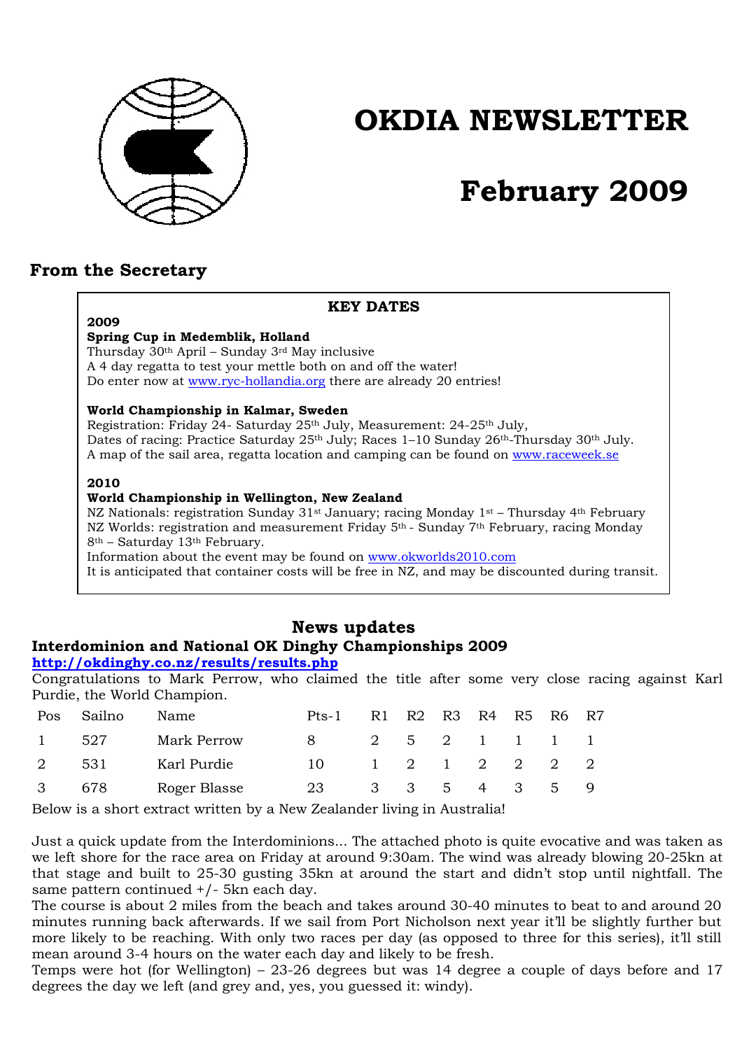

# **OKDIA NEWSLETTER**

# **February 2009**

## **From the Secretary**

| <b>KEY DATES</b>                                                                                                              |
|-------------------------------------------------------------------------------------------------------------------------------|
| 2009                                                                                                                          |
| Spring Cup in Medemblik, Holland                                                                                              |
| Thursday 30 <sup>th</sup> April – Sunday 3 <sup>rd</sup> May inclusive                                                        |
| A 4 day regatta to test your mettle both on and off the water!                                                                |
| Do enter now at www.ryc-hollandia.org there are already 20 entries!                                                           |
| World Championship in Kalmar, Sweden                                                                                          |
| Registration: Friday 24- Saturday 25th July, Measurement: 24-25th July,                                                       |
| Dates of racing: Practice Saturday 25 <sup>th</sup> July; Races 1-10 Sunday 26 <sup>th</sup> -Thursday 30 <sup>th</sup> July. |
| A map of the sail area, regatta location and camping can be found on www.raceweek.se                                          |
| 2010                                                                                                                          |
| World Championship in Wellington, New Zealand                                                                                 |
| NZ Nationals: registration Sunday 31 <sup>st</sup> January; racing Monday 1 <sup>st</sup> – Thursday 4 <sup>th</sup> February |
| NZ Worlds: registration and measurement Friday 5 <sup>th</sup> - Sunday 7 <sup>th</sup> February, racing Monday               |
| $8th$ – Saturday 13 <sup>th</sup> February.                                                                                   |
| Information about the event may be found on www.okworlds2010.com                                                              |
| It is anticipated that container costs will be free in NZ, and may be discounted during transit.                              |

# **News updates Interdominion and National OK Dinghy Championships 2009**

#### **http://okdinghy.co.nz/results/results.php**

Congratulations to Mark Perrow, who claimed the title after some very close racing against Karl Purdie, the World Champion.

| <b>Pos</b> | Sailno | Name         | Pts-1 | R1 | R2 R3 R4    |  | R5 R6 R7                                            |   |
|------------|--------|--------------|-------|----|-------------|--|-----------------------------------------------------|---|
|            | - 527  | Mark Perrow  | 8     |    |             |  | 2 5 2 1 1 1 1                                       |   |
| 2          | - 531  | Karl Purdie  | 10    |    |             |  | $1 \quad 2 \quad 1 \quad 2 \quad 2 \quad 2 \quad 2$ |   |
| 3          | 678    | Roger Blasse | 23    |    | 3 3 5 4 3 5 |  |                                                     | 9 |

Below is a short extract written by a New Zealander living in Australia!

Just a quick update from the Interdominions... The attached photo is quite evocative and was taken as we left shore for the race area on Friday at around 9:30am. The wind was already blowing 20-25kn at that stage and built to 25-30 gusting 35kn at around the start and didn't stop until nightfall. The same pattern continued +/- 5kn each day.

The course is about 2 miles from the beach and takes around 30-40 minutes to beat to and around 20 minutes running back afterwards. If we sail from Port Nicholson next year it'll be slightly further but more likely to be reaching. With only two races per day (as opposed to three for this series), it'll still mean around 3-4 hours on the water each day and likely to be fresh.

Temps were hot (for Wellington) – 23-26 degrees but was 14 degree a couple of days before and 17 degrees the day we left (and grey and, yes, you guessed it: windy).